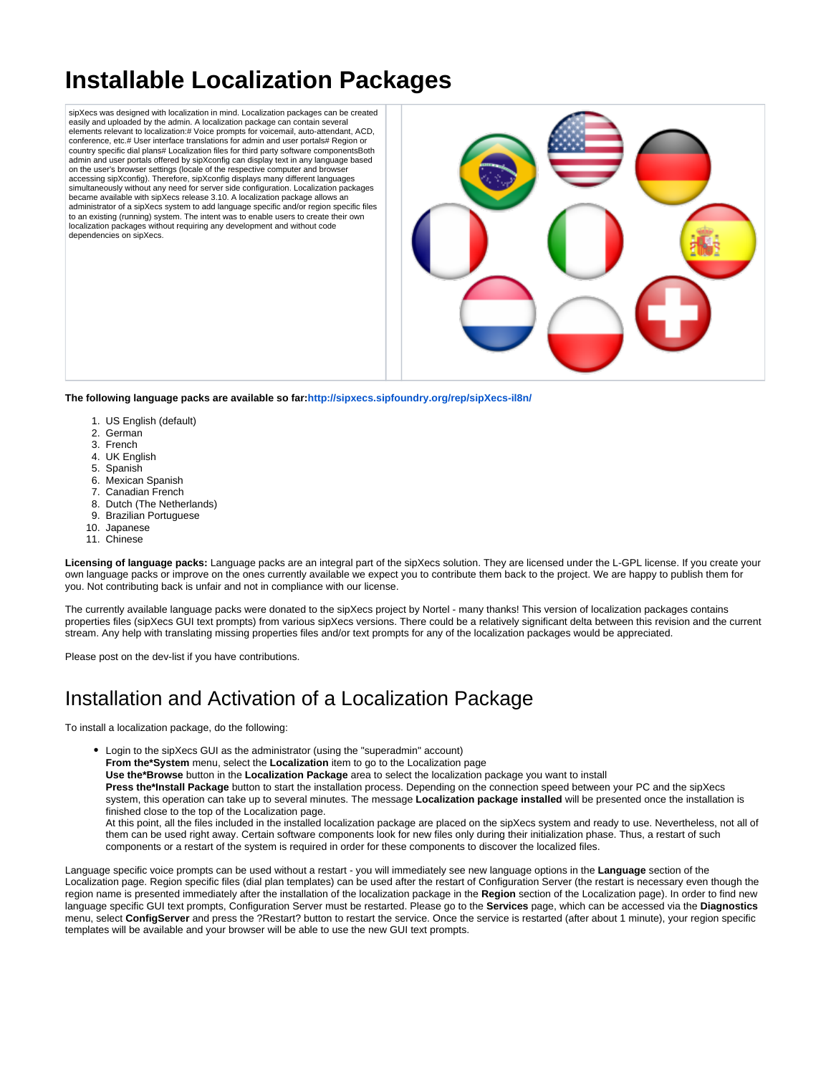# **Installable Localization Packages**

sipXecs was designed with localization in mind. Localization packages can be created easily and uploaded by the admin. A localization package can contain several elements relevant to localization:# Voice prompts for voicemail, auto-attendant, ACD, conference, etc.# User interface translations for admin and user portals# Region or country specific dial plans# Localization files for third party software componentsBoth admin and user portals offered by sipXconfig can display text in any language based on the user's browser settings (locale of the respective computer and browser accessing sipXconfig). Therefore, sipXconfig displays many different languages simultaneously without any need for server side configuration. Localization packages became available with sipXecs release 3.10. A localization package allows an administrator of a sipXecs system to add language specific and/or region specific files to an existing (running) system. The intent was to enable users to create their own localization packages without requiring any development and without code dependencies on sipXecs.



**The following language packs are available so far:<http://sipxecs.sipfoundry.org/rep/sipXecs-il8n/>**

- 1. US English (default)
- 2. German
- 3. French
- 4. UK English
- 5. Spanish
- 6. Mexican Spanish
- 7. Canadian French
- 8. Dutch (The Netherlands)
- 9. Brazilian Portuguese
- 10. Japanese 11. Chinese

**Licensing of language packs:** Language packs are an integral part of the sipXecs solution. They are licensed under the L-GPL license. If you create your own language packs or improve on the ones currently available we expect you to contribute them back to the project. We are happy to publish them for you. Not contributing back is unfair and not in compliance with our license.

The currently available language packs were donated to the sipXecs project by Nortel - many thanks! This version of localization packages contains properties files (sipXecs GUI text prompts) from various sipXecs versions. There could be a relatively significant delta between this revision and the current stream. Any help with translating missing properties files and/or text prompts for any of the localization packages would be appreciated.

Please post on the dev-list if you have contributions.

### Installation and Activation of a Localization Package

To install a localization package, do the following:

Login to the sipXecs GUI as the administrator (using the "superadmin" account) **From the\*System** menu, select the **Localization** item to go to the Localization page **Use the\*Browse** button in the **Localization Package** area to select the localization package you want to install **Press the\*Install Package** button to start the installation process. Depending on the connection speed between your PC and the sipXecs system, this operation can take up to several minutes. The message **Localization package installed** will be presented once the installation is finished close to the top of the Localization page. At this point, all the files included in the installed localization package are placed on the sipXecs system and ready to use. Nevertheless, not all of them can be used right away. Certain software components look for new files only during their initialization phase. Thus, a restart of such components or a restart of the system is required in order for these components to discover the localized files.

Language specific voice prompts can be used without a restart - you will immediately see new language options in the **Language** section of the Localization page. Region specific files (dial plan templates) can be used after the restart of Configuration Server (the restart is necessary even though the region name is presented immediately after the installation of the localization package in the **Region** section of the Localization page). In order to find new language specific GUI text prompts, Configuration Server must be restarted. Please go to the **Services** page, which can be accessed via the **Diagnostics** menu, select **ConfigServer** and press the ?Restart? button to restart the service. Once the service is restarted (after about 1 minute), your region specific templates will be available and your browser will be able to use the new GUI text prompts.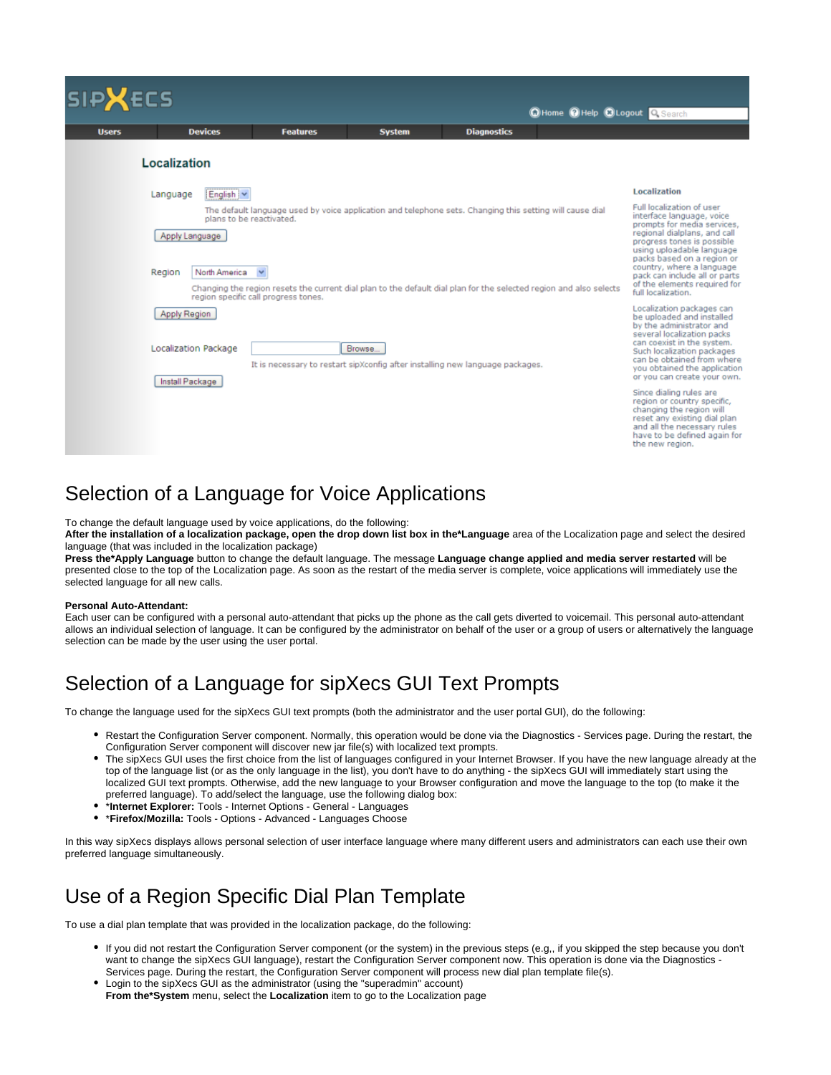| <b>SIPXECS</b><br>CHome CHelp CLogout Q Search |                                                                       |                                                                                                                                                                                                                                                                                        |               |                    |  |                                                                                                                                                                                                                                                                                                                                    |
|------------------------------------------------|-----------------------------------------------------------------------|----------------------------------------------------------------------------------------------------------------------------------------------------------------------------------------------------------------------------------------------------------------------------------------|---------------|--------------------|--|------------------------------------------------------------------------------------------------------------------------------------------------------------------------------------------------------------------------------------------------------------------------------------------------------------------------------------|
| <b>Users</b>                                   | <b>Devices</b>                                                        | <b>Features</b>                                                                                                                                                                                                                                                                        | <b>System</b> | <b>Diagnostics</b> |  |                                                                                                                                                                                                                                                                                                                                    |
|                                                | Localization                                                          |                                                                                                                                                                                                                                                                                        |               |                    |  |                                                                                                                                                                                                                                                                                                                                    |
|                                                | English v<br>Language                                                 |                                                                                                                                                                                                                                                                                        |               |                    |  | Localization                                                                                                                                                                                                                                                                                                                       |
|                                                | plans to be reactivated.<br>Apply Language<br>Region<br>North America | The default language used by voice application and telephone sets. Changing this setting will cause dial<br>$\checkmark$<br>Changing the region resets the current dial plan to the default dial plan for the selected region and also selects<br>region specific call progress tones. |               |                    |  | Full localization of user<br>interface language, voice<br>prompts for media services.<br>regional dialplans, and call<br>progress tones is possible<br>using uploadable language<br>packs based on a region or<br>country, where a language<br>pack can include all or parts<br>of the elements required for<br>full localization. |
|                                                | Apply Region<br>Localization Package<br>Install Package               | It is necessary to restart sipXconfig after installing new language packages.                                                                                                                                                                                                          | Browse        |                    |  | Localization packages can<br>be uploaded and installed<br>by the administrator and<br>several localization packs<br>can coexist in the system.<br>Such localization packages<br>can be obtained from where<br>you obtained the application<br>or you can create your own.                                                          |
|                                                |                                                                       |                                                                                                                                                                                                                                                                                        |               |                    |  | Since dialing rules are<br>region or country specific.<br>changing the region will<br>reset any existing dial plan<br>and all the necessary rules<br>have to be defined again for<br>the new region.                                                                                                                               |

#### Selection of a Language for Voice Applications

To change the default language used by voice applications, do the following:

**After the installation of a localization package, open the drop down list box in the\*Language** area of the Localization page and select the desired language (that was included in the localization package)

**Press the\*Apply Language** button to change the default language. The message **Language change applied and media server restarted** will be presented close to the top of the Localization page. As soon as the restart of the media server is complete, voice applications will immediately use the selected language for all new calls.

#### **Personal Auto-Attendant:**

Each user can be configured with a personal auto-attendant that picks up the phone as the call gets diverted to voicemail. This personal auto-attendant allows an individual selection of language. It can be configured by the administrator on behalf of the user or a group of users or alternatively the language selection can be made by the user using the user portal.

### Selection of a Language for sipXecs GUI Text Prompts

To change the language used for the sipXecs GUI text prompts (both the administrator and the user portal GUI), do the following:

- Restart the Configuration Server component. Normally, this operation would be done via the Diagnostics Services page. During the restart, the Configuration Server component will discover new jar file(s) with localized text prompts.
- The sipXecs GUI uses the first choice from the list of languages configured in your Internet Browser. If you have the new language already at the top of the language list (or as the only language in the list), you don't have to do anything - the sipXecs GUI will immediately start using the localized GUI text prompts. Otherwise, add the new language to your Browser configuration and move the language to the top (to make it the preferred language). To add/select the language, use the following dialog box:
- \***Internet Explorer:** Tools Internet Options General Languages
- 
- \***Firefox/Mozilla:** Tools Options Advanced Languages Choose

In this way sipXecs displays allows personal selection of user interface language where many different users and administrators can each use their own preferred language simultaneously.

### Use of a Region Specific Dial Plan Template

To use a dial plan template that was provided in the localization package, do the following:

- If you did not restart the Configuration Server component (or the system) in the previous steps (e.g,, if you skipped the step because you don't want to change the sipXecs GUI language), restart the Configuration Server component now. This operation is done via the Diagnostics -Services page. During the restart, the Configuration Server component will process new dial plan template file(s).
- Login to the sipXecs GUI as the administrator (using the "superadmin" account) **From the\*System** menu, select the **Localization** item to go to the Localization page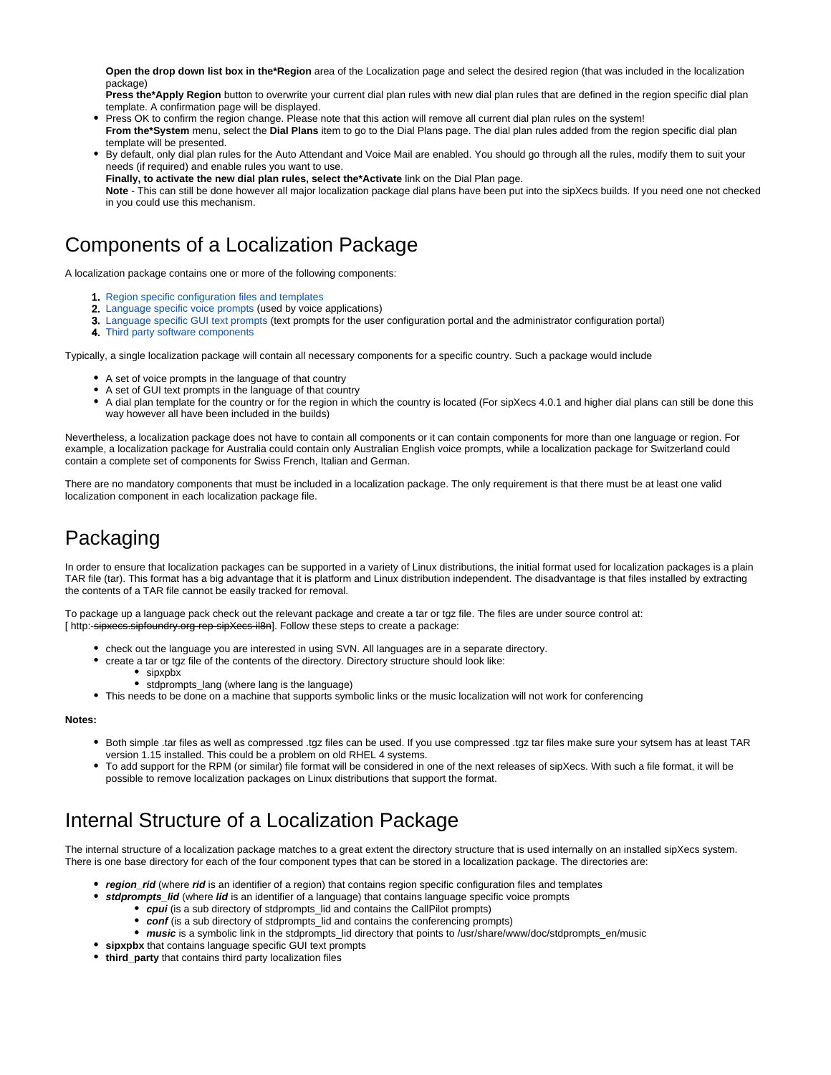**Open the drop down list box in the\*Region** area of the Localization page and select the desired region (that was included in the localization package)

**Press the\*Apply Region** button to overwrite your current dial plan rules with new dial plan rules that are defined in the region specific dial plan template. A confirmation page will be displayed.

Press OK to confirm the region change. Please note that this action will remove all current dial plan rules on the system!

**From the\*System** menu, select the **Dial Plans** item to go to the Dial Plans page. The dial plan rules added from the region specific dial plan template will be presented.

By default, only dial plan rules for the Auto Attendant and Voice Mail are enabled. You should go through all the rules, modify them to suit your needs (if required) and enable rules you want to use.

**Finally, to activate the new dial plan rules, select the\*Activate** link on the Dial Plan page.

**Note** - This can still be done however all major localization package dial plans have been put into the sipXecs builds. If you need one not checked in you could use this mechanism.

### Components of a Localization Package

A localization package contains one or more of the following components:

- 1. [Region specific configuration files and templates](https://wiki.ezuce.com/display/sipXcom/Localization+of+Region+Specific+Files)
- 2. [Language specific voice prompts](https://wiki.ezuce.com/display/sipXcom/Localization+of+Voice+Prompts) (used by voice applications)
- 3. [Language specific GUI text prompts](https://wiki.ezuce.com/display/sipXcom/Localization+of+GUI+Text+Prompts) (text prompts for the user configuration portal and the administrator configuration portal)
- 4. Third party software components

Typically, a single localization package will contain all necessary components for a specific country. Such a package would include

- A set of voice prompts in the language of that country
- A set of GUI text prompts in the language of that country
- A dial plan template for the country or for the region in which the country is located (For sipXecs 4.0.1 and higher dial plans can still be done this way however all have been included in the builds)

Nevertheless, a localization package does not have to contain all components or it can contain components for more than one language or region. For example, a localization package for Australia could contain only Australian English voice prompts, while a localization package for Switzerland could contain a complete set of components for Swiss French, Italian and German.

There are no mandatory components that must be included in a localization package. The only requirement is that there must be at least one valid localization component in each localization package file.

# Packaging

In order to ensure that localization packages can be supported in a variety of Linux distributions, the initial format used for localization packages is a plain TAR file (tar). This format has a big advantage that it is platform and Linux distribution independent. The disadvantage is that files installed by extracting the contents of a TAR file cannot be easily tracked for removal.

To package up a language pack check out the relevant package and create a tar or tgz file. The files are under source control at: [ http:-sipxees.sipfoundry.org-rep-sipXees-il8n]. Follow these steps to create a package:

- check out the language you are interested in using SVN. All languages are in a separate directory.
- create a tar or tgz file of the contents of the directory. Directory structure should look like:
	- sipxpbx
	- stdprompts\_lang (where lang is the language)
- This needs to be done on a machine that supports symbolic links or the music localization will not work for conferencing

#### **Notes:**

- Both simple .tar files as well as compressed .tgz files can be used. If you use compressed .tgz tar files make sure your sytsem has at least TAR version 1.15 installed. This could be a problem on old RHEL 4 systems.
- To add support for the RPM (or similar) file format will be considered in one of the next releases of sipXecs. With such a file format, it will be possible to remove localization packages on Linux distributions that support the format.

# Internal Structure of a Localization Package

The internal structure of a localization package matches to a great extent the directory structure that is used internally on an installed sipXecs system. There is one base directory for each of the four component types that can be stored in a localization package. The directories are:

- **region\_rid** (where **rid** is an identifier of a region) that contains region specific configuration files and templates
- **•** stdprompts\_lid (where lid is an identifier of a language) that contains language specific voice prompts
	- **cpui** (is a sub directory of stdprompts\_lid and contains the CallPilot prompts)
	- **conf** (is a sub directory of stdprompts\_lid and contains the conferencing prompts)
	- *music* is a symbolic link in the stdprompts\_lid directory that points to /usr/share/www/doc/stdprompts\_en/music
- **sipxpbx** that contains language specific GUI text prompts
- **third party** that contains third party localization files